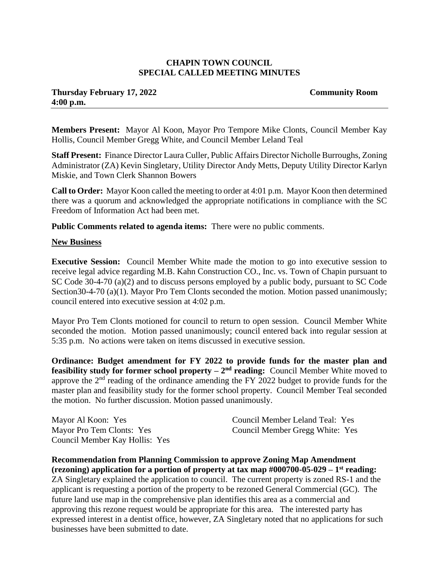## **CHAPIN TOWN COUNCIL SPECIAL CALLED MEETING MINUTES**

## **Thursday February 17, 2022 Community Room 4:00 p.m.**

**Members Present:** Mayor Al Koon, Mayor Pro Tempore Mike Clonts, Council Member Kay Hollis, Council Member Gregg White, and Council Member Leland Teal

**Staff Present:** Finance Director Laura Culler, Public Affairs Director Nicholle Burroughs, Zoning Administrator (ZA) Kevin Singletary, Utility Director Andy Metts, Deputy Utility Director Karlyn Miskie, and Town Clerk Shannon Bowers

**Call to Order:** Mayor Koon called the meeting to order at 4:01 p.m. Mayor Koon then determined there was a quorum and acknowledged the appropriate notifications in compliance with the SC Freedom of Information Act had been met.

**Public Comments related to agenda items:** There were no public comments.

## **New Business**

**Executive Session:** Council Member White made the motion to go into executive session to receive legal advice regarding M.B. Kahn Construction CO., Inc. vs. Town of Chapin pursuant to SC Code 30-4-70 (a)(2) and to discuss persons employed by a public body, pursuant to SC Code Section30-4-70 (a)(1). Mayor Pro Tem Clonts seconded the motion. Motion passed unanimously; council entered into executive session at 4:02 p.m.

Mayor Pro Tem Clonts motioned for council to return to open session. Council Member White seconded the motion. Motion passed unanimously; council entered back into regular session at 5:35 p.m. No actions were taken on items discussed in executive session.

**Ordinance: Budget amendment for FY 2022 to provide funds for the master plan and feasibility study for former school property –**  $2<sup>nd</sup>$  **<b>reading:** Council Member White moved to approve the 2<sup>nd</sup> reading of the ordinance amending the FY 2022 budget to provide funds for the master plan and feasibility study for the former school property. Council Member Teal seconded the motion. No further discussion. Motion passed unanimously.

Mayor Al Koon: Yes Mayor Pro Tem Clonts: Yes Council Member Kay Hollis: Yes Council Member Leland Teal: Yes Council Member Gregg White: Yes

**Recommendation from Planning Commission to approve Zoning Map Amendment (rezoning) application for a portion of property at tax map #000700-05-029 – 1 st reading:**  ZA Singletary explained the application to council. The current property is zoned RS-1 and the applicant is requesting a portion of the property to be rezoned General Commercial (GC). The future land use map in the comprehensive plan identifies this area as a commercial and approving this rezone request would be appropriate for this area. The interested party has expressed interest in a dentist office, however, ZA Singletary noted that no applications for such businesses have been submitted to date.